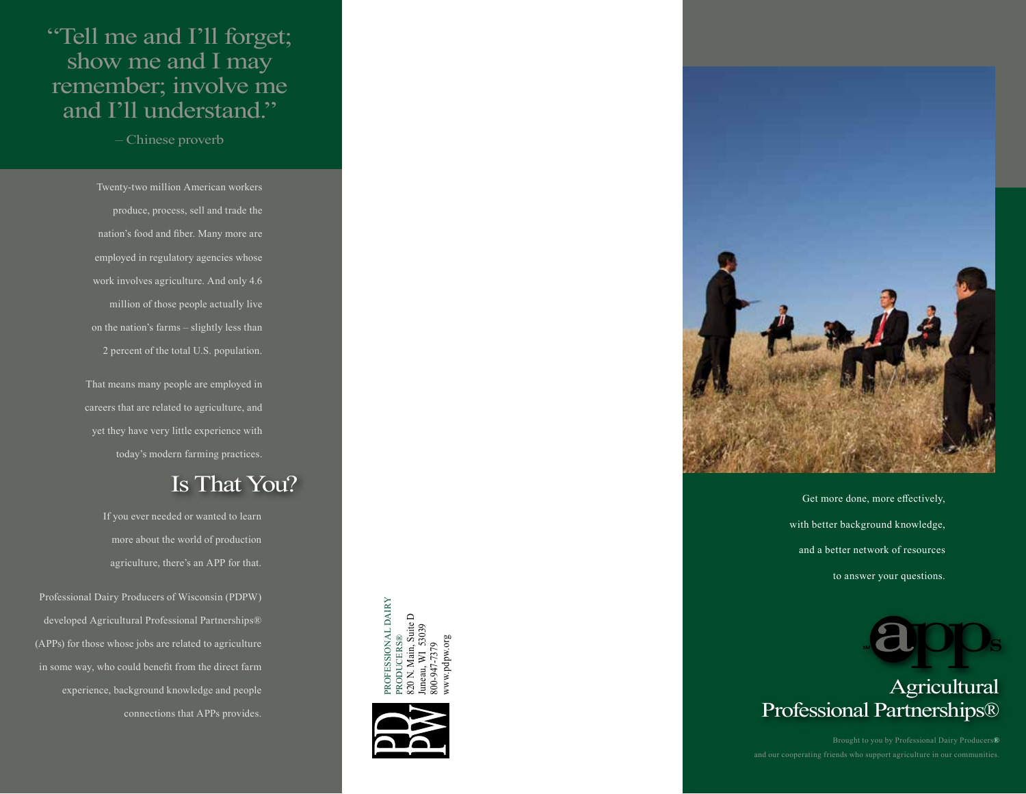## "Tell me and I'll forget; show me and I may remember; involve me and I'll understand."

– Chinese proverb

Twenty-two million American workers produce, process, sell and trade the nation's food and fiber. Many more are employed in regulatory agencies whose work involves agriculture. And only 4.6 million of those people actually live on the nation's farms – slightly less than 2 percent of the total U.S. population.

That means many people are employed in careers that are related to agriculture, and yet they have very little experience with today's modern farming practices.

# Is That You?

If you ever needed or wanted to learn more about the world of production agriculture, there's an APP for that.

Professional Dairy Producers of Wisconsin (PDPW) developed Agricultural Professional Partnerships® (APPs) for those whose jobs are related to agriculture in some way, who could benefit from the direct farm experience, background knowledge and people connections that APPs provides.

PROFESSIONAL DAIRY ROFESSIONAL DAIRY in, Suite D<br>1 53039 820 N. Main, Suite D Juneau, WI 53039 PRODUCERS® www.pdpw.org www.pdpw.org800-947-7379





Get more done, more effectively, with better background knowledge, and a better network of resources to answer your questions.



## Agricultural Professional Partnerships®

Brought to you by Professional Dairy Producers®